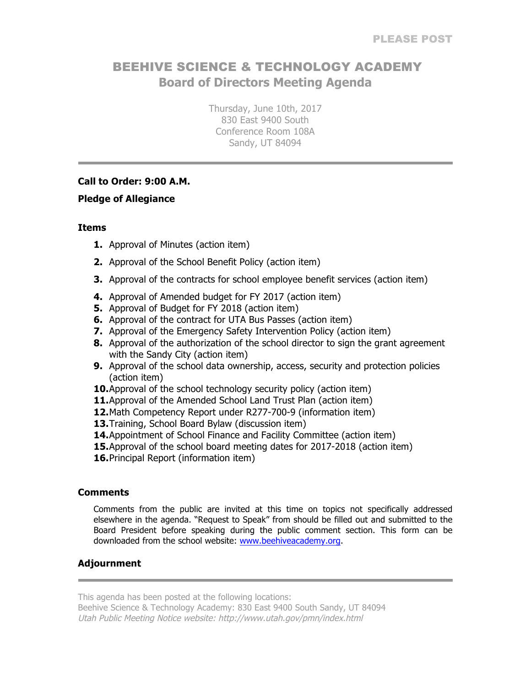# BEEHIVE SCIENCE & TECHNOLOGY ACADEMY **Board of Directors Meeting Agenda**

Thursday, June 10th, 2017 830 East 9400 South Conference Room 108A Sandy, UT 84094

## **Call to Order: 9:00 A.M.**

## **Pledge of Allegiance**

#### **Items**

- **1.** Approval of Minutes (action item)
- **2.** Approval of the School Benefit Policy (action item)
- **3.** Approval of the contracts for school employee benefit services (action item)
- **4.** Approval of Amended budget for FY 2017 (action item)
- **5.** Approval of Budget for FY 2018 (action item)
- **6.** Approval of the contract for UTA Bus Passes (action item)
- **7.** Approval of the Emergency Safety Intervention Policy (action item)
- **8.** Approval of the authorization of the school director to sign the grant agreement with the Sandy City (action item)
- **9.** Approval of the school data ownership, access, security and protection policies (action item)
- **10.**Approval of the school technology security policy (action item)
- **11.**Approval of the Amended School Land Trust Plan (action item)
- **12.**Math Competency Report under R277-700-9 (information item)
- **13.**Training, School Board Bylaw (discussion item)
- **14.**Appointment of School Finance and Facility Committee (action item)
- **15.**Approval of the school board meeting dates for 2017-2018 (action item)
- **16.**Principal Report (information item)

#### **Comments**

Comments from the public are invited at this time on topics not specifically addressed elsewhere in the agenda. "Request to Speak" from should be filled out and submitted to the Board President before speaking during the public comment section. This form can be downloaded from the school website: www.beehiveacademy.org.

# **Adjournment**

This agenda has been posted at the following locations:

Beehive Science & Technology Academy: 830 East 9400 South Sandy, UT 84094 Utah Public Meeting Notice website: http://www.utah.gov/pmn/index.html